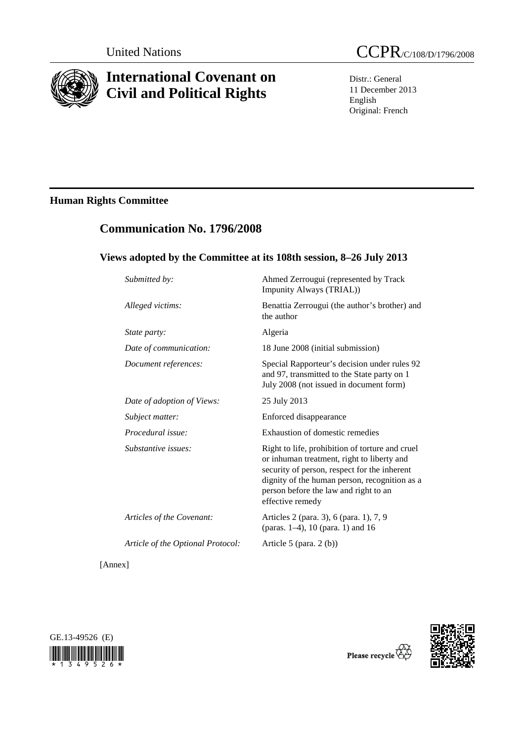

# **International Covenant on Civil and Political Rights**

Distr.: General 11 December 2013 English Original: French

## **Human Rights Committee**

## **Communication No. 1796/2008**

## **Views adopted by the Committee at its 108th session, 8–26 July 2013**

| Submitted by:                     | Ahmed Zerrougui (represented by Track<br>Impunity Always (TRIAL))                                                                                                                                                                                           |
|-----------------------------------|-------------------------------------------------------------------------------------------------------------------------------------------------------------------------------------------------------------------------------------------------------------|
| Alleged victims:                  | Benattia Zerrougui (the author's brother) and<br>the author                                                                                                                                                                                                 |
| State party:                      | Algeria                                                                                                                                                                                                                                                     |
| Date of communication:            | 18 June 2008 (initial submission)                                                                                                                                                                                                                           |
| Document references:              | Special Rapporteur's decision under rules 92<br>and 97, transmitted to the State party on 1<br>July 2008 (not issued in document form)                                                                                                                      |
| Date of adoption of Views:        | 25 July 2013                                                                                                                                                                                                                                                |
| Subject matter:                   | Enforced disappearance                                                                                                                                                                                                                                      |
| Procedural issue:                 | Exhaustion of domestic remedies                                                                                                                                                                                                                             |
| Substantive issues:               | Right to life, prohibition of torture and cruel<br>or inhuman treatment, right to liberty and<br>security of person, respect for the inherent<br>dignity of the human person, recognition as a<br>person before the law and right to an<br>effective remedy |
| Articles of the Covenant:         | Articles 2 (para. 3), 6 (para. 1), 7, 9<br>(paras. 1-4), 10 (para. 1) and 16                                                                                                                                                                                |
| Article of the Optional Protocol: | Article 5 (para. $2(b)$ )                                                                                                                                                                                                                                   |
| [Annex]                           |                                                                                                                                                                                                                                                             |





Please recycle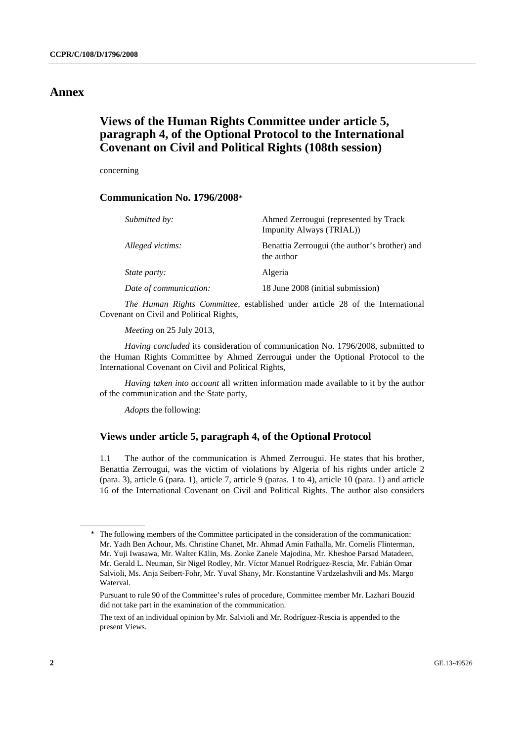### **Annex**

## **Views of the Human Rights Committee under article 5, paragraph 4, of the Optional Protocol to the International Covenant on Civil and Political Rights (108th session)**

concerning

### **Communication No. 1796/2008**\*

| Submitted by:          | Ahmed Zerrougui (represented by Track<br>Impunity Always (TRIAL)) |
|------------------------|-------------------------------------------------------------------|
| Alleged victims:       | Benattia Zerrougui (the author's brother) and<br>the author       |
| <i>State party:</i>    | Algeria                                                           |
| Date of communication: | 18 June 2008 (initial submission)                                 |

*The Human Rights Committee*, established under article 28 of the International Covenant on Civil and Political Rights,

*Meeting* on 25 July 2013,

*Having concluded* its consideration of communication No. 1796/2008, submitted to the Human Rights Committee by Ahmed Zerrougui under the Optional Protocol to the International Covenant on Civil and Political Rights,

*Having taken into account* all written information made available to it by the author of the communication and the State party,

*Adopts* the following:

### **Views under article 5, paragraph 4, of the Optional Protocol**

1.1 The author of the communication is Ahmed Zerrougui. He states that his brother, Benattia Zerrougui, was the victim of violations by Algeria of his rights under article 2 (para. 3), article 6 (para. 1), article 7, article 9 (paras. 1 to 4), article 10 (para. 1) and article 16 of the International Covenant on Civil and Political Rights. The author also considers

<sup>\*</sup> The following members of the Committee participated in the consideration of the communication: Mr. Yadh Ben Achour, Ms. Christine Chanet, Mr. Ahmad Amin Fathalla, Mr. Cornelis Flinterman, Mr. Yuji Iwasawa, Mr. Walter Kälin, Ms. Zonke Zanele Majodina, Mr. Kheshoe Parsad Matadeen, Mr. Gerald L. Neuman, Sir Nigel Rodley, Mr. Víctor Manuel Rodríguez-Rescia, Mr. Fabián Omar Salvioli, Ms. Anja Seibert-Fohr, Mr. Yuval Shany, Mr. Konstantine Vardzelashvili and Ms. Margo Waterval.

Pursuant to rule 90 of the Committee's rules of procedure, Committee member Mr. Lazhari Bouzid did not take part in the examination of the communication.

The text of an individual opinion by Mr. Salvioli and Mr. Rodríguez-Rescia is appended to the present Views.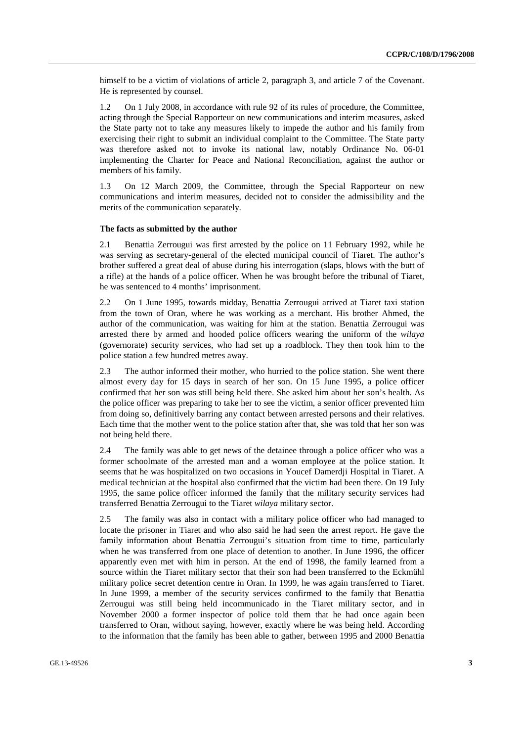himself to be a victim of violations of article 2, paragraph 3, and article 7 of the Covenant. He is represented by counsel.

1.2 On 1 July 2008, in accordance with rule 92 of its rules of procedure, the Committee, acting through the Special Rapporteur on new communications and interim measures, asked the State party not to take any measures likely to impede the author and his family from exercising their right to submit an individual complaint to the Committee. The State party was therefore asked not to invoke its national law, notably Ordinance No. 06-01 implementing the Charter for Peace and National Reconciliation, against the author or members of his family.

1.3 On 12 March 2009, the Committee, through the Special Rapporteur on new communications and interim measures, decided not to consider the admissibility and the merits of the communication separately.

#### **The facts as submitted by the author**

2.1 Benattia Zerrougui was first arrested by the police on 11 February 1992, while he was serving as secretary-general of the elected municipal council of Tiaret. The author's brother suffered a great deal of abuse during his interrogation (slaps, blows with the butt of a rifle) at the hands of a police officer. When he was brought before the tribunal of Tiaret, he was sentenced to 4 months' imprisonment.

2.2 On 1 June 1995, towards midday, Benattia Zerrougui arrived at Tiaret taxi station from the town of Oran, where he was working as a merchant. His brother Ahmed, the author of the communication, was waiting for him at the station. Benattia Zerrougui was arrested there by armed and hooded police officers wearing the uniform of the *wilaya* (governorate) security services, who had set up a roadblock. They then took him to the police station a few hundred metres away.

2.3 The author informed their mother, who hurried to the police station. She went there almost every day for 15 days in search of her son. On 15 June 1995, a police officer confirmed that her son was still being held there. She asked him about her son's health. As the police officer was preparing to take her to see the victim, a senior officer prevented him from doing so, definitively barring any contact between arrested persons and their relatives. Each time that the mother went to the police station after that, she was told that her son was not being held there.

2.4 The family was able to get news of the detainee through a police officer who was a former schoolmate of the arrested man and a woman employee at the police station. It seems that he was hospitalized on two occasions in Youcef Damerdji Hospital in Tiaret. A medical technician at the hospital also confirmed that the victim had been there. On 19 July 1995, the same police officer informed the family that the military security services had transferred Benattia Zerrougui to the Tiaret *wilaya* military sector.

2.5 The family was also in contact with a military police officer who had managed to locate the prisoner in Tiaret and who also said he had seen the arrest report. He gave the family information about Benattia Zerrougui's situation from time to time, particularly when he was transferred from one place of detention to another. In June 1996, the officer apparently even met with him in person. At the end of 1998, the family learned from a source within the Tiaret military sector that their son had been transferred to the Eckmühl military police secret detention centre in Oran. In 1999, he was again transferred to Tiaret. In June 1999, a member of the security services confirmed to the family that Benattia Zerrougui was still being held incommunicado in the Tiaret military sector, and in November 2000 a former inspector of police told them that he had once again been transferred to Oran, without saying, however, exactly where he was being held. According to the information that the family has been able to gather, between 1995 and 2000 Benattia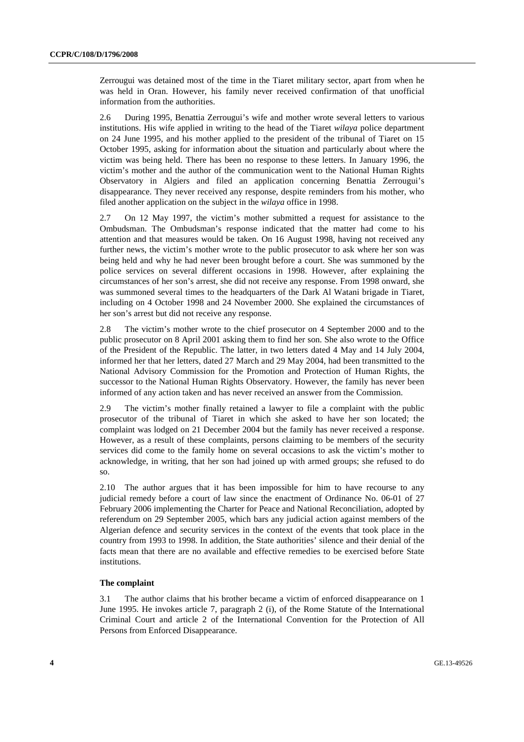Zerrougui was detained most of the time in the Tiaret military sector, apart from when he was held in Oran. However, his family never received confirmation of that unofficial information from the authorities.

2.6 During 1995, Benattia Zerrougui's wife and mother wrote several letters to various institutions. His wife applied in writing to the head of the Tiaret *wilaya* police department on 24 June 1995, and his mother applied to the president of the tribunal of Tiaret on 15 October 1995, asking for information about the situation and particularly about where the victim was being held. There has been no response to these letters. In January 1996, the victim's mother and the author of the communication went to the National Human Rights Observatory in Algiers and filed an application concerning Benattia Zerrougui's disappearance. They never received any response, despite reminders from his mother, who filed another application on the subject in the *wilaya* office in 1998.

2.7 On 12 May 1997, the victim's mother submitted a request for assistance to the Ombudsman. The Ombudsman's response indicated that the matter had come to his attention and that measures would be taken. On 16 August 1998, having not received any further news, the victim's mother wrote to the public prosecutor to ask where her son was being held and why he had never been brought before a court. She was summoned by the police services on several different occasions in 1998. However, after explaining the circumstances of her son's arrest, she did not receive any response. From 1998 onward, she was summoned several times to the headquarters of the Dark Al Watani brigade in Tiaret, including on 4 October 1998 and 24 November 2000. She explained the circumstances of her son's arrest but did not receive any response.

2.8 The victim's mother wrote to the chief prosecutor on 4 September 2000 and to the public prosecutor on 8 April 2001 asking them to find her son. She also wrote to the Office of the President of the Republic. The latter, in two letters dated 4 May and 14 July 2004, informed her that her letters, dated 27 March and 29 May 2004, had been transmitted to the National Advisory Commission for the Promotion and Protection of Human Rights, the successor to the National Human Rights Observatory. However, the family has never been informed of any action taken and has never received an answer from the Commission.

2.9 The victim's mother finally retained a lawyer to file a complaint with the public prosecutor of the tribunal of Tiaret in which she asked to have her son located; the complaint was lodged on 21 December 2004 but the family has never received a response. However, as a result of these complaints, persons claiming to be members of the security services did come to the family home on several occasions to ask the victim's mother to acknowledge, in writing, that her son had joined up with armed groups; she refused to do so.

2.10 The author argues that it has been impossible for him to have recourse to any judicial remedy before a court of law since the enactment of Ordinance No. 06-01 of 27 February 2006 implementing the Charter for Peace and National Reconciliation, adopted by referendum on 29 September 2005, which bars any judicial action against members of the Algerian defence and security services in the context of the events that took place in the country from 1993 to 1998. In addition, the State authorities' silence and their denial of the facts mean that there are no available and effective remedies to be exercised before State institutions.

#### **The complaint**

3.1 The author claims that his brother became a victim of enforced disappearance on 1 June 1995. He invokes article 7, paragraph 2 (i), of the Rome Statute of the International Criminal Court and article 2 of the International Convention for the Protection of All Persons from Enforced Disappearance.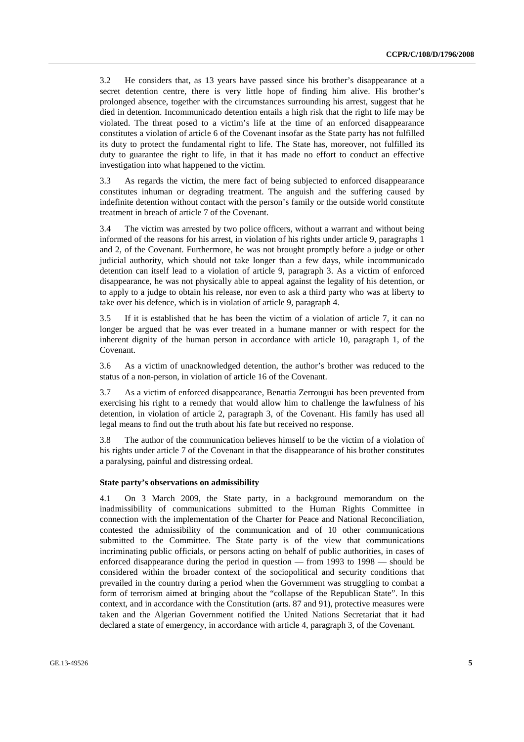3.2 He considers that, as 13 years have passed since his brother's disappearance at a secret detention centre, there is very little hope of finding him alive. His brother's prolonged absence, together with the circumstances surrounding his arrest, suggest that he died in detention. Incommunicado detention entails a high risk that the right to life may be violated. The threat posed to a victim's life at the time of an enforced disappearance constitutes a violation of article 6 of the Covenant insofar as the State party has not fulfilled its duty to protect the fundamental right to life. The State has, moreover, not fulfilled its duty to guarantee the right to life, in that it has made no effort to conduct an effective investigation into what happened to the victim.

3.3 As regards the victim, the mere fact of being subjected to enforced disappearance constitutes inhuman or degrading treatment. The anguish and the suffering caused by indefinite detention without contact with the person's family or the outside world constitute treatment in breach of article 7 of the Covenant.

3.4 The victim was arrested by two police officers, without a warrant and without being informed of the reasons for his arrest, in violation of his rights under article 9, paragraphs 1 and 2, of the Covenant. Furthermore, he was not brought promptly before a judge or other judicial authority, which should not take longer than a few days, while incommunicado detention can itself lead to a violation of article 9, paragraph 3. As a victim of enforced disappearance, he was not physically able to appeal against the legality of his detention, or to apply to a judge to obtain his release, nor even to ask a third party who was at liberty to take over his defence, which is in violation of article 9, paragraph 4.

3.5 If it is established that he has been the victim of a violation of article 7, it can no longer be argued that he was ever treated in a humane manner or with respect for the inherent dignity of the human person in accordance with article 10, paragraph 1, of the Covenant.

3.6 As a victim of unacknowledged detention, the author's brother was reduced to the status of a non-person, in violation of article 16 of the Covenant.

3.7 As a victim of enforced disappearance, Benattia Zerrougui has been prevented from exercising his right to a remedy that would allow him to challenge the lawfulness of his detention, in violation of article 2, paragraph 3, of the Covenant. His family has used all legal means to find out the truth about his fate but received no response.

3.8 The author of the communication believes himself to be the victim of a violation of his rights under article 7 of the Covenant in that the disappearance of his brother constitutes a paralysing, painful and distressing ordeal.

#### **State party's observations on admissibility**

4.1 On 3 March 2009, the State party, in a background memorandum on the inadmissibility of communications submitted to the Human Rights Committee in connection with the implementation of the Charter for Peace and National Reconciliation, contested the admissibility of the communication and of 10 other communications submitted to the Committee. The State party is of the view that communications incriminating public officials, or persons acting on behalf of public authorities, in cases of enforced disappearance during the period in question — from 1993 to 1998 — should be considered within the broader context of the sociopolitical and security conditions that prevailed in the country during a period when the Government was struggling to combat a form of terrorism aimed at bringing about the "collapse of the Republican State". In this context, and in accordance with the Constitution (arts. 87 and 91), protective measures were taken and the Algerian Government notified the United Nations Secretariat that it had declared a state of emergency, in accordance with article 4, paragraph 3, of the Covenant.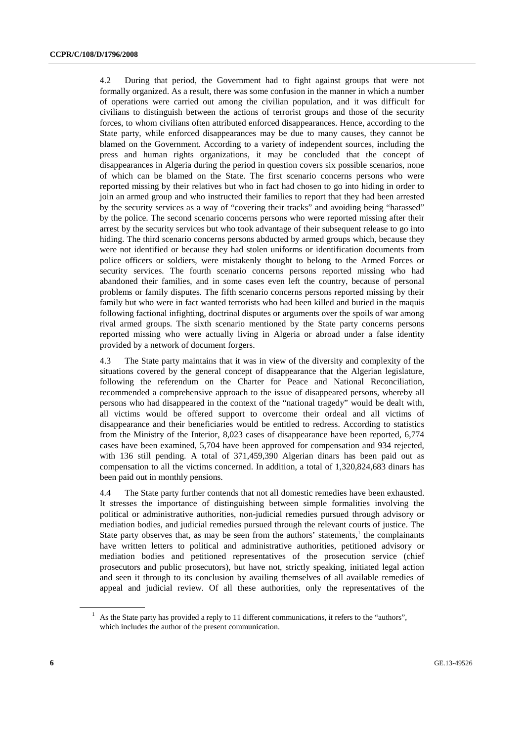4.2 During that period, the Government had to fight against groups that were not formally organized. As a result, there was some confusion in the manner in which a number of operations were carried out among the civilian population, and it was difficult for civilians to distinguish between the actions of terrorist groups and those of the security forces, to whom civilians often attributed enforced disappearances. Hence, according to the State party, while enforced disappearances may be due to many causes, they cannot be blamed on the Government. According to a variety of independent sources, including the press and human rights organizations, it may be concluded that the concept of disappearances in Algeria during the period in question covers six possible scenarios, none of which can be blamed on the State. The first scenario concerns persons who were reported missing by their relatives but who in fact had chosen to go into hiding in order to join an armed group and who instructed their families to report that they had been arrested by the security services as a way of "covering their tracks" and avoiding being "harassed" by the police. The second scenario concerns persons who were reported missing after their arrest by the security services but who took advantage of their subsequent release to go into hiding. The third scenario concerns persons abducted by armed groups which, because they were not identified or because they had stolen uniforms or identification documents from police officers or soldiers, were mistakenly thought to belong to the Armed Forces or security services. The fourth scenario concerns persons reported missing who had abandoned their families, and in some cases even left the country, because of personal problems or family disputes. The fifth scenario concerns persons reported missing by their family but who were in fact wanted terrorists who had been killed and buried in the maquis following factional infighting, doctrinal disputes or arguments over the spoils of war among rival armed groups. The sixth scenario mentioned by the State party concerns persons reported missing who were actually living in Algeria or abroad under a false identity provided by a network of document forgers.

4.3 The State party maintains that it was in view of the diversity and complexity of the situations covered by the general concept of disappearance that the Algerian legislature, following the referendum on the Charter for Peace and National Reconciliation, recommended a comprehensive approach to the issue of disappeared persons, whereby all persons who had disappeared in the context of the "national tragedy" would be dealt with, all victims would be offered support to overcome their ordeal and all victims of disappearance and their beneficiaries would be entitled to redress. According to statistics from the Ministry of the Interior, 8,023 cases of disappearance have been reported, 6,774 cases have been examined, 5,704 have been approved for compensation and 934 rejected, with 136 still pending. A total of 371,459,390 Algerian dinars has been paid out as compensation to all the victims concerned. In addition, a total of 1,320,824,683 dinars has been paid out in monthly pensions.

4.4 The State party further contends that not all domestic remedies have been exhausted. It stresses the importance of distinguishing between simple formalities involving the political or administrative authorities, non-judicial remedies pursued through advisory or mediation bodies, and judicial remedies pursued through the relevant courts of justice. The State party observes that, as may be seen from the authors' statements,<sup>1</sup> the complainants have written letters to political and administrative authorities, petitioned advisory or mediation bodies and petitioned representatives of the prosecution service (chief prosecutors and public prosecutors), but have not, strictly speaking, initiated legal action and seen it through to its conclusion by availing themselves of all available remedies of appeal and judicial review. Of all these authorities, only the representatives of the

<sup>&</sup>lt;sup>1</sup> As the State party has provided a reply to 11 different communications, it refers to the "authors", which includes the author of the present communication.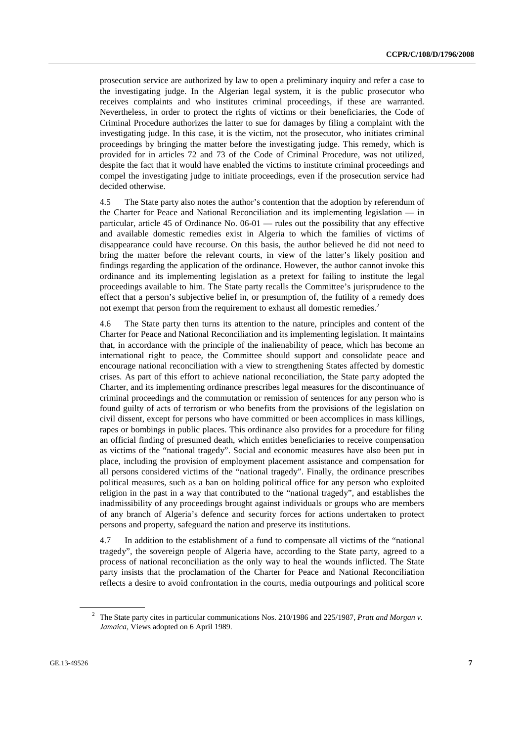prosecution service are authorized by law to open a preliminary inquiry and refer a case to the investigating judge. In the Algerian legal system, it is the public prosecutor who receives complaints and who institutes criminal proceedings, if these are warranted. Nevertheless, in order to protect the rights of victims or their beneficiaries, the Code of Criminal Procedure authorizes the latter to sue for damages by filing a complaint with the investigating judge. In this case, it is the victim, not the prosecutor, who initiates criminal proceedings by bringing the matter before the investigating judge. This remedy, which is provided for in articles 72 and 73 of the Code of Criminal Procedure, was not utilized, despite the fact that it would have enabled the victims to institute criminal proceedings and compel the investigating judge to initiate proceedings, even if the prosecution service had decided otherwise.

4.5 The State party also notes the author's contention that the adoption by referendum of the Charter for Peace and National Reconciliation and its implementing legislation — in particular, article 45 of Ordinance No. 06-01 — rules out the possibility that any effective and available domestic remedies exist in Algeria to which the families of victims of disappearance could have recourse. On this basis, the author believed he did not need to bring the matter before the relevant courts, in view of the latter's likely position and findings regarding the application of the ordinance. However, the author cannot invoke this ordinance and its implementing legislation as a pretext for failing to institute the legal proceedings available to him. The State party recalls the Committee's jurisprudence to the effect that a person's subjective belief in, or presumption of, the futility of a remedy does not exempt that person from the requirement to exhaust all domestic remedies.<sup>2</sup>

4.6 The State party then turns its attention to the nature, principles and content of the Charter for Peace and National Reconciliation and its implementing legislation. It maintains that, in accordance with the principle of the inalienability of peace, which has become an international right to peace, the Committee should support and consolidate peace and encourage national reconciliation with a view to strengthening States affected by domestic crises. As part of this effort to achieve national reconciliation, the State party adopted the Charter, and its implementing ordinance prescribes legal measures for the discontinuance of criminal proceedings and the commutation or remission of sentences for any person who is found guilty of acts of terrorism or who benefits from the provisions of the legislation on civil dissent, except for persons who have committed or been accomplices in mass killings, rapes or bombings in public places. This ordinance also provides for a procedure for filing an official finding of presumed death, which entitles beneficiaries to receive compensation as victims of the "national tragedy". Social and economic measures have also been put in place, including the provision of employment placement assistance and compensation for all persons considered victims of the "national tragedy". Finally, the ordinance prescribes political measures, such as a ban on holding political office for any person who exploited religion in the past in a way that contributed to the "national tragedy", and establishes the inadmissibility of any proceedings brought against individuals or groups who are members of any branch of Algeria's defence and security forces for actions undertaken to protect persons and property, safeguard the nation and preserve its institutions.

4.7 In addition to the establishment of a fund to compensate all victims of the "national tragedy", the sovereign people of Algeria have, according to the State party, agreed to a process of national reconciliation as the only way to heal the wounds inflicted. The State party insists that the proclamation of the Charter for Peace and National Reconciliation reflects a desire to avoid confrontation in the courts, media outpourings and political score

<sup>2</sup> The State party cites in particular communications Nos. 210/1986 and 225/1987, *Pratt and Morgan v. Jamaica*, Views adopted on 6 April 1989.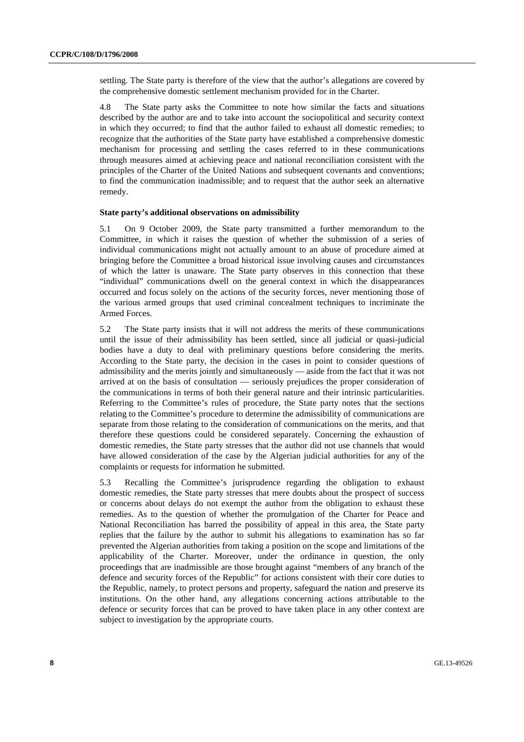settling. The State party is therefore of the view that the author's allegations are covered by the comprehensive domestic settlement mechanism provided for in the Charter.

4.8 The State party asks the Committee to note how similar the facts and situations described by the author are and to take into account the sociopolitical and security context in which they occurred; to find that the author failed to exhaust all domestic remedies; to recognize that the authorities of the State party have established a comprehensive domestic mechanism for processing and settling the cases referred to in these communications through measures aimed at achieving peace and national reconciliation consistent with the principles of the Charter of the United Nations and subsequent covenants and conventions; to find the communication inadmissible; and to request that the author seek an alternative remedy.

#### **State party's additional observations on admissibility**

5.1 On 9 October 2009, the State party transmitted a further memorandum to the Committee, in which it raises the question of whether the submission of a series of individual communications might not actually amount to an abuse of procedure aimed at bringing before the Committee a broad historical issue involving causes and circumstances of which the latter is unaware. The State party observes in this connection that these "individual" communications dwell on the general context in which the disappearances occurred and focus solely on the actions of the security forces, never mentioning those of the various armed groups that used criminal concealment techniques to incriminate the Armed Forces.

5.2 The State party insists that it will not address the merits of these communications until the issue of their admissibility has been settled, since all judicial or quasi-judicial bodies have a duty to deal with preliminary questions before considering the merits. According to the State party, the decision in the cases in point to consider questions of admissibility and the merits jointly and simultaneously — aside from the fact that it was not arrived at on the basis of consultation — seriously prejudices the proper consideration of the communications in terms of both their general nature and their intrinsic particularities. Referring to the Committee's rules of procedure, the State party notes that the sections relating to the Committee's procedure to determine the admissibility of communications are separate from those relating to the consideration of communications on the merits, and that therefore these questions could be considered separately. Concerning the exhaustion of domestic remedies, the State party stresses that the author did not use channels that would have allowed consideration of the case by the Algerian judicial authorities for any of the complaints or requests for information he submitted.

5.3 Recalling the Committee's jurisprudence regarding the obligation to exhaust domestic remedies, the State party stresses that mere doubts about the prospect of success or concerns about delays do not exempt the author from the obligation to exhaust these remedies. As to the question of whether the promulgation of the Charter for Peace and National Reconciliation has barred the possibility of appeal in this area, the State party replies that the failure by the author to submit his allegations to examination has so far prevented the Algerian authorities from taking a position on the scope and limitations of the applicability of the Charter. Moreover, under the ordinance in question, the only proceedings that are inadmissible are those brought against "members of any branch of the defence and security forces of the Republic" for actions consistent with their core duties to the Republic, namely, to protect persons and property, safeguard the nation and preserve its institutions. On the other hand, any allegations concerning actions attributable to the defence or security forces that can be proved to have taken place in any other context are subject to investigation by the appropriate courts.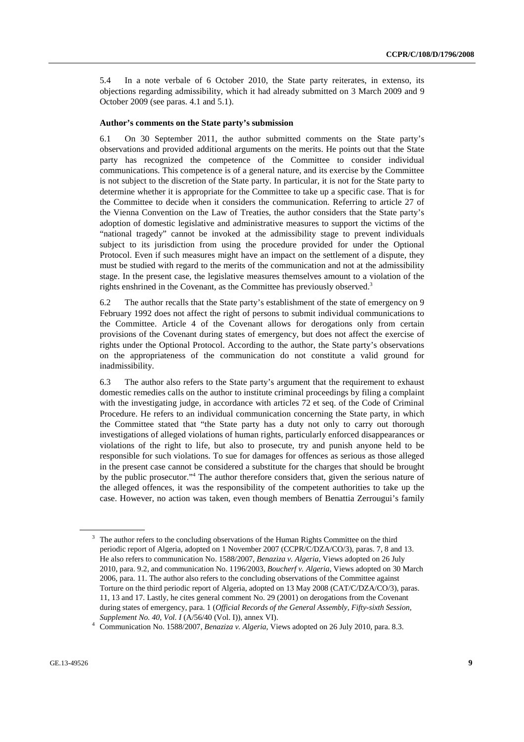5.4 In a note verbale of 6 October 2010, the State party reiterates, in extenso, its objections regarding admissibility, which it had already submitted on 3 March 2009 and 9 October 2009 (see paras. 4.1 and 5.1).

#### **Author's comments on the State party's submission**

6.1 On 30 September 2011, the author submitted comments on the State party's observations and provided additional arguments on the merits. He points out that the State party has recognized the competence of the Committee to consider individual communications. This competence is of a general nature, and its exercise by the Committee is not subject to the discretion of the State party. In particular, it is not for the State party to determine whether it is appropriate for the Committee to take up a specific case. That is for the Committee to decide when it considers the communication. Referring to article 27 of the Vienna Convention on the Law of Treaties, the author considers that the State party's adoption of domestic legislative and administrative measures to support the victims of the "national tragedy" cannot be invoked at the admissibility stage to prevent individuals subject to its jurisdiction from using the procedure provided for under the Optional Protocol. Even if such measures might have an impact on the settlement of a dispute, they must be studied with regard to the merits of the communication and not at the admissibility stage. In the present case, the legislative measures themselves amount to a violation of the rights enshrined in the Covenant, as the Committee has previously observed.<sup>3</sup>

6.2 The author recalls that the State party's establishment of the state of emergency on 9 February 1992 does not affect the right of persons to submit individual communications to the Committee. Article 4 of the Covenant allows for derogations only from certain provisions of the Covenant during states of emergency, but does not affect the exercise of rights under the Optional Protocol. According to the author, the State party's observations on the appropriateness of the communication do not constitute a valid ground for inadmissibility.

6.3 The author also refers to the State party's argument that the requirement to exhaust domestic remedies calls on the author to institute criminal proceedings by filing a complaint with the investigating judge, in accordance with articles 72 et seq. of the Code of Criminal Procedure. He refers to an individual communication concerning the State party, in which the Committee stated that "the State party has a duty not only to carry out thorough investigations of alleged violations of human rights, particularly enforced disappearances or violations of the right to life, but also to prosecute, try and punish anyone held to be responsible for such violations. To sue for damages for offences as serious as those alleged in the present case cannot be considered a substitute for the charges that should be brought by the public prosecutor."<sup>4</sup> The author therefore considers that, given the serious nature of the alleged offences, it was the responsibility of the competent authorities to take up the case. However, no action was taken, even though members of Benattia Zerrougui's family

<sup>3</sup> The author refers to the concluding observations of the Human Rights Committee on the third periodic report of Algeria, adopted on 1 November 2007 (CCPR/C/DZA/CO/3), paras. 7, 8 and 13. He also refers to communication No. 1588/2007, *Benaziza v. Algeria*, Views adopted on 26 July 2010, para. 9.2, and communication No. 1196/2003, *Boucherf v. Algeria*, Views adopted on 30 March 2006, para. 11. The author also refers to the concluding observations of the Committee against Torture on the third periodic report of Algeria, adopted on 13 May 2008 (CAT/C/DZA/CO/3), paras. 11, 13 and 17. Lastly, he cites general comment No. 29 (2001) on derogations from the Covenant during states of emergency, para. 1 (*Official Records of the General Assembly, Fifty-sixth Session, Supplement No. 40, Vol. I* (A/56/40 (Vol. I)), annex VI).

Communication No. 1588/2007, *Benaziza v. Algeria*, Views adopted on 26 July 2010, para. 8.3.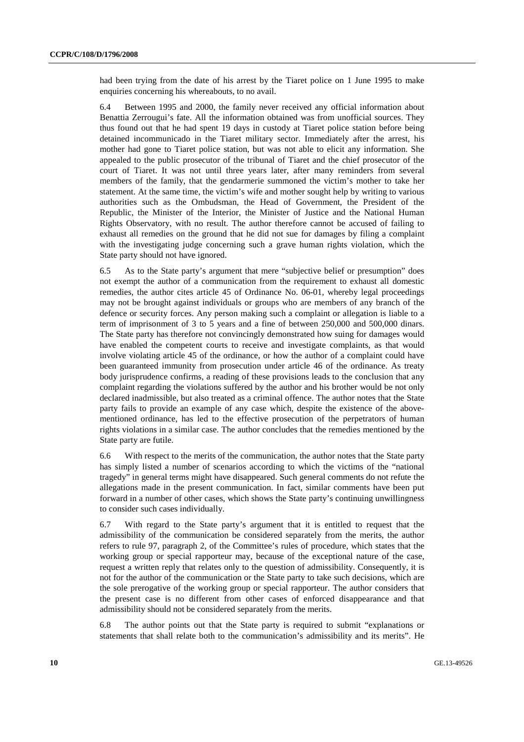had been trying from the date of his arrest by the Tiaret police on 1 June 1995 to make enquiries concerning his whereabouts, to no avail.

6.4 Between 1995 and 2000, the family never received any official information about Benattia Zerrougui's fate. All the information obtained was from unofficial sources. They thus found out that he had spent 19 days in custody at Tiaret police station before being detained incommunicado in the Tiaret military sector. Immediately after the arrest, his mother had gone to Tiaret police station, but was not able to elicit any information. She appealed to the public prosecutor of the tribunal of Tiaret and the chief prosecutor of the court of Tiaret. It was not until three years later, after many reminders from several members of the family, that the gendarmerie summoned the victim's mother to take her statement. At the same time, the victim's wife and mother sought help by writing to various authorities such as the Ombudsman, the Head of Government, the President of the Republic, the Minister of the Interior, the Minister of Justice and the National Human Rights Observatory, with no result. The author therefore cannot be accused of failing to exhaust all remedies on the ground that he did not sue for damages by filing a complaint with the investigating judge concerning such a grave human rights violation, which the State party should not have ignored.

6.5 As to the State party's argument that mere "subjective belief or presumption" does not exempt the author of a communication from the requirement to exhaust all domestic remedies, the author cites article 45 of Ordinance No. 06-01, whereby legal proceedings may not be brought against individuals or groups who are members of any branch of the defence or security forces. Any person making such a complaint or allegation is liable to a term of imprisonment of 3 to 5 years and a fine of between 250,000 and 500,000 dinars. The State party has therefore not convincingly demonstrated how suing for damages would have enabled the competent courts to receive and investigate complaints, as that would involve violating article 45 of the ordinance, or how the author of a complaint could have been guaranteed immunity from prosecution under article 46 of the ordinance. As treaty body jurisprudence confirms, a reading of these provisions leads to the conclusion that any complaint regarding the violations suffered by the author and his brother would be not only declared inadmissible, but also treated as a criminal offence. The author notes that the State party fails to provide an example of any case which, despite the existence of the abovementioned ordinance, has led to the effective prosecution of the perpetrators of human rights violations in a similar case. The author concludes that the remedies mentioned by the State party are futile.

6.6 With respect to the merits of the communication, the author notes that the State party has simply listed a number of scenarios according to which the victims of the "national tragedy" in general terms might have disappeared. Such general comments do not refute the allegations made in the present communication. In fact, similar comments have been put forward in a number of other cases, which shows the State party's continuing unwillingness to consider such cases individually.

6.7 With regard to the State party's argument that it is entitled to request that the admissibility of the communication be considered separately from the merits, the author refers to rule 97, paragraph 2, of the Committee's rules of procedure, which states that the working group or special rapporteur may, because of the exceptional nature of the case, request a written reply that relates only to the question of admissibility. Consequently, it is not for the author of the communication or the State party to take such decisions, which are the sole prerogative of the working group or special rapporteur. The author considers that the present case is no different from other cases of enforced disappearance and that admissibility should not be considered separately from the merits.

6.8 The author points out that the State party is required to submit "explanations or statements that shall relate both to the communication's admissibility and its merits". He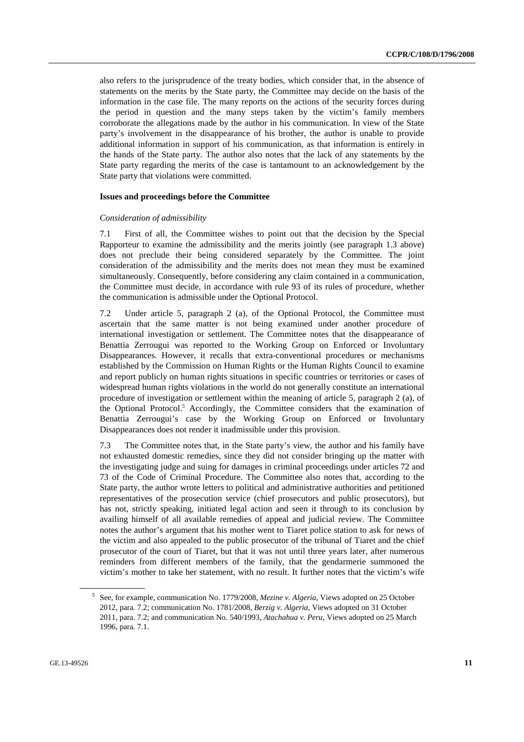also refers to the jurisprudence of the treaty bodies, which consider that, in the absence of statements on the merits by the State party, the Committee may decide on the basis of the information in the case file. The many reports on the actions of the security forces during the period in question and the many steps taken by the victim's family members corroborate the allegations made by the author in his communication. In view of the State party's involvement in the disappearance of his brother, the author is unable to provide additional information in support of his communication, as that information is entirely in the hands of the State party. The author also notes that the lack of any statements by the State party regarding the merits of the case is tantamount to an acknowledgement by the State party that violations were committed.

#### **Issues and proceedings before the Committee**

#### *Consideration of admissibility*

7.1 First of all, the Committee wishes to point out that the decision by the Special Rapporteur to examine the admissibility and the merits jointly (see paragraph 1.3 above) does not preclude their being considered separately by the Committee. The joint consideration of the admissibility and the merits does not mean they must be examined simultaneously. Consequently, before considering any claim contained in a communication, the Committee must decide, in accordance with rule 93 of its rules of procedure, whether the communication is admissible under the Optional Protocol.

7.2 Under article 5, paragraph 2 (a), of the Optional Protocol, the Committee must ascertain that the same matter is not being examined under another procedure of international investigation or settlement. The Committee notes that the disappearance of Benattia Zerrougui was reported to the Working Group on Enforced or Involuntary Disappearances. However, it recalls that extra-conventional procedures or mechanisms established by the Commission on Human Rights or the Human Rights Council to examine and report publicly on human rights situations in specific countries or territories or cases of widespread human rights violations in the world do not generally constitute an international procedure of investigation or settlement within the meaning of article 5, paragraph 2 (a), of the Optional Protocol.<sup>5</sup> Accordingly, the Committee considers that the examination of Benattia Zerrougui's case by the Working Group on Enforced or Involuntary Disappearances does not render it inadmissible under this provision.

7.3 The Committee notes that, in the State party's view, the author and his family have not exhausted domestic remedies, since they did not consider bringing up the matter with the investigating judge and suing for damages in criminal proceedings under articles 72 and 73 of the Code of Criminal Procedure. The Committee also notes that, according to the State party, the author wrote letters to political and administrative authorities and petitioned representatives of the prosecution service (chief prosecutors and public prosecutors), but has not, strictly speaking, initiated legal action and seen it through to its conclusion by availing himself of all available remedies of appeal and judicial review. The Committee notes the author's argument that his mother went to Tiaret police station to ask for news of the victim and also appealed to the public prosecutor of the tribunal of Tiaret and the chief prosecutor of the court of Tiaret, but that it was not until three years later, after numerous reminders from different members of the family, that the gendarmerie summoned the victim's mother to take her statement, with no result. It further notes that the victim's wife

<sup>5</sup> See, for example, communication No. 1779/2008, *Mezine v. Algeria*, Views adopted on 25 October 2012, para*.* 7.2; communication No. 1781/2008, *Berzig v. Algeria*, Views adopted on 31 October 2011, para. 7.2; and communication No. 540/1993, *Atachahua v. Peru*, Views adopted on 25 March 1996, para*.* 7.1.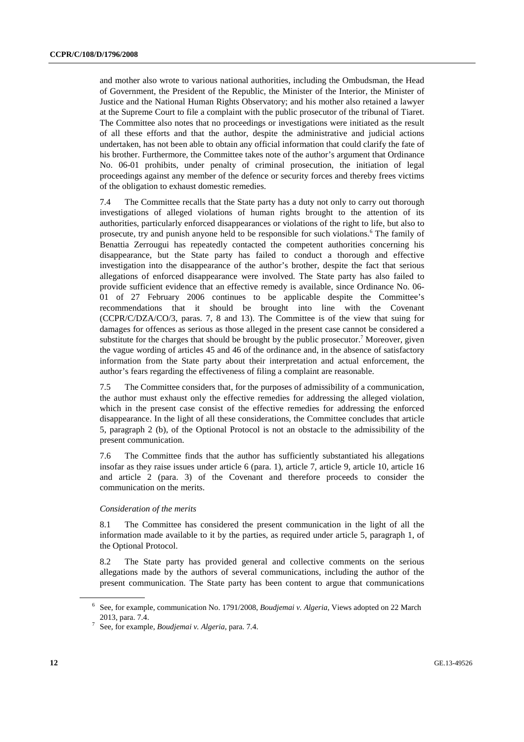and mother also wrote to various national authorities, including the Ombudsman, the Head of Government, the President of the Republic, the Minister of the Interior, the Minister of Justice and the National Human Rights Observatory; and his mother also retained a lawyer at the Supreme Court to file a complaint with the public prosecutor of the tribunal of Tiaret. The Committee also notes that no proceedings or investigations were initiated as the result of all these efforts and that the author, despite the administrative and judicial actions undertaken, has not been able to obtain any official information that could clarify the fate of his brother. Furthermore, the Committee takes note of the author's argument that Ordinance No. 06-01 prohibits, under penalty of criminal prosecution, the initiation of legal proceedings against any member of the defence or security forces and thereby frees victims of the obligation to exhaust domestic remedies.

7.4 The Committee recalls that the State party has a duty not only to carry out thorough investigations of alleged violations of human rights brought to the attention of its authorities, particularly enforced disappearances or violations of the right to life, but also to prosecute, try and punish anyone held to be responsible for such violations.<sup>6</sup> The family of Benattia Zerrougui has repeatedly contacted the competent authorities concerning his disappearance, but the State party has failed to conduct a thorough and effective investigation into the disappearance of the author's brother, despite the fact that serious allegations of enforced disappearance were involved. The State party has also failed to provide sufficient evidence that an effective remedy is available, since Ordinance No. 06- 01 of 27 February 2006 continues to be applicable despite the Committee's recommendations that it should be brought into line with the Covenant (CCPR/C/DZA/CO/3, paras. 7, 8 and 13). The Committee is of the view that suing for damages for offences as serious as those alleged in the present case cannot be considered a substitute for the charges that should be brought by the public prosecutor.<sup>7</sup> Moreover, given the vague wording of articles 45 and 46 of the ordinance and, in the absence of satisfactory information from the State party about their interpretation and actual enforcement, the author's fears regarding the effectiveness of filing a complaint are reasonable.

7.5 The Committee considers that, for the purposes of admissibility of a communication, the author must exhaust only the effective remedies for addressing the alleged violation, which in the present case consist of the effective remedies for addressing the enforced disappearance. In the light of all these considerations, the Committee concludes that article 5, paragraph 2 (b), of the Optional Protocol is not an obstacle to the admissibility of the present communication.

7.6 The Committee finds that the author has sufficiently substantiated his allegations insofar as they raise issues under article 6 (para. 1), article 7, article 9, article 10, article 16 and article 2 (para. 3) of the Covenant and therefore proceeds to consider the communication on the merits.

#### *Consideration of the merits*

8.1 The Committee has considered the present communication in the light of all the information made available to it by the parties, as required under article 5, paragraph 1, of the Optional Protocol.

8.2 The State party has provided general and collective comments on the serious allegations made by the authors of several communications, including the author of the present communication. The State party has been content to argue that communications

<sup>&</sup>lt;sup>6</sup> See, for example, communication No. 1791/2008, *Boudjemai v. Algeria*, Views adopted on 22 March 2013, para. 7.4. 7 See, for example, *Boudjemai v. Algeria*, para. 7.4.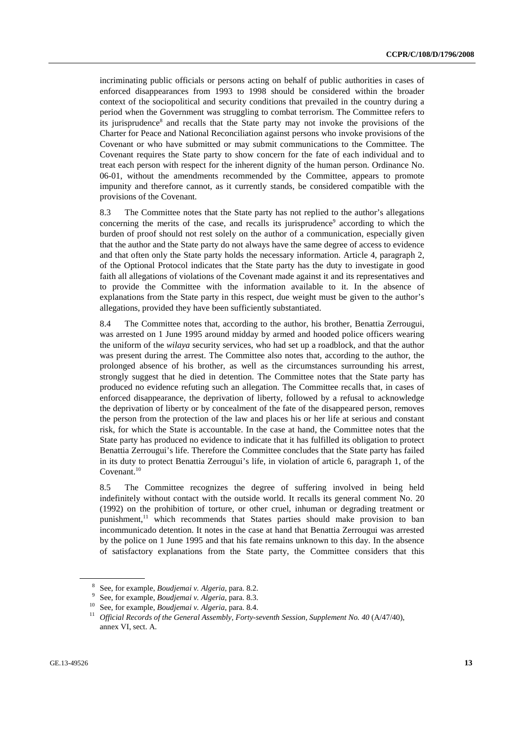incriminating public officials or persons acting on behalf of public authorities in cases of enforced disappearances from 1993 to 1998 should be considered within the broader context of the sociopolitical and security conditions that prevailed in the country during a period when the Government was struggling to combat terrorism. The Committee refers to its jurisprudence<sup>8</sup> and recalls that the State party may not invoke the provisions of the Charter for Peace and National Reconciliation against persons who invoke provisions of the Covenant or who have submitted or may submit communications to the Committee. The Covenant requires the State party to show concern for the fate of each individual and to treat each person with respect for the inherent dignity of the human person. Ordinance No. 06-01, without the amendments recommended by the Committee, appears to promote impunity and therefore cannot, as it currently stands, be considered compatible with the provisions of the Covenant.

8.3 The Committee notes that the State party has not replied to the author's allegations concerning the merits of the case, and recalls its jurisprudence<sup>9</sup> according to which the burden of proof should not rest solely on the author of a communication, especially given that the author and the State party do not always have the same degree of access to evidence and that often only the State party holds the necessary information. Article 4, paragraph 2, of the Optional Protocol indicates that the State party has the duty to investigate in good faith all allegations of violations of the Covenant made against it and its representatives and to provide the Committee with the information available to it. In the absence of explanations from the State party in this respect, due weight must be given to the author's allegations, provided they have been sufficiently substantiated.

8.4 The Committee notes that, according to the author, his brother, Benattia Zerrougui, was arrested on 1 June 1995 around midday by armed and hooded police officers wearing the uniform of the *wilaya* security services, who had set up a roadblock, and that the author was present during the arrest. The Committee also notes that, according to the author, the prolonged absence of his brother, as well as the circumstances surrounding his arrest, strongly suggest that he died in detention. The Committee notes that the State party has produced no evidence refuting such an allegation. The Committee recalls that, in cases of enforced disappearance, the deprivation of liberty, followed by a refusal to acknowledge the deprivation of liberty or by concealment of the fate of the disappeared person, removes the person from the protection of the law and places his or her life at serious and constant risk, for which the State is accountable. In the case at hand, the Committee notes that the State party has produced no evidence to indicate that it has fulfilled its obligation to protect Benattia Zerrougui's life. Therefore the Committee concludes that the State party has failed in its duty to protect Benattia Zerrougui's life, in violation of article 6, paragraph 1, of the Covenant.<sup>10</sup>

8.5 The Committee recognizes the degree of suffering involved in being held indefinitely without contact with the outside world. It recalls its general comment No. 20 (1992) on the prohibition of torture, or other cruel, inhuman or degrading treatment or punishment,<sup>11</sup> which recommends that States parties should make provision to ban incommunicado detention. It notes in the case at hand that Benattia Zerrougui was arrested by the police on 1 June 1995 and that his fate remains unknown to this day. In the absence of satisfactory explanations from the State party, the Committee considers that this

<sup>&</sup>lt;sup>8</sup> See, for example, *Boudjemai v. Algeria*, para. 8.2.<br><sup>9</sup> See, for example, *Boudignai v. Algeria*, para. 8.3.

<sup>&</sup>lt;sup>9</sup> See, for example, *Boudjemai v. Algeria*, para. 8.3.<br><sup>10</sup> See, for example, *Boudjemai v. Algeria*, para. 8.4.<br><sup>11</sup> Official Records of the General Assembly, Forty-seventh Session, Supplement No. 40 (A/47/40), annex VI, sect. A.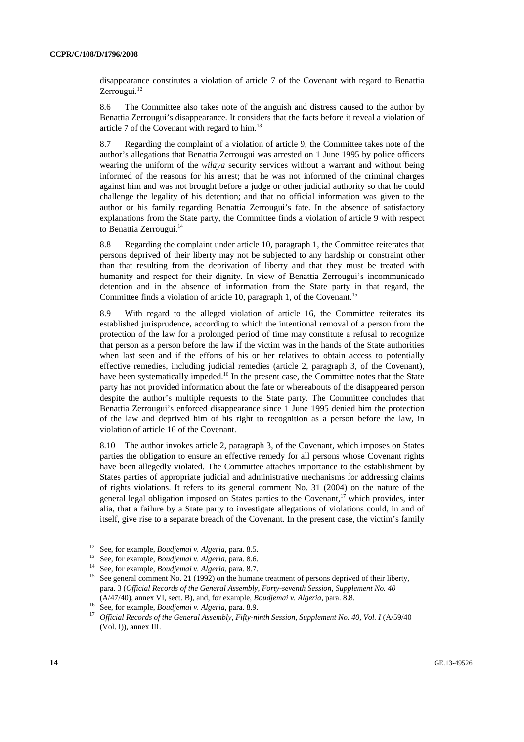disappearance constitutes a violation of article 7 of the Covenant with regard to Benattia Zerrougui.<sup>12</sup>

8.6 The Committee also takes note of the anguish and distress caused to the author by Benattia Zerrougui's disappearance. It considers that the facts before it reveal a violation of article 7 of the Covenant with regard to him.13

8.7 Regarding the complaint of a violation of article 9, the Committee takes note of the author's allegations that Benattia Zerrougui was arrested on 1 June 1995 by police officers wearing the uniform of the *wilaya* security services without a warrant and without being informed of the reasons for his arrest; that he was not informed of the criminal charges against him and was not brought before a judge or other judicial authority so that he could challenge the legality of his detention; and that no official information was given to the author or his family regarding Benattia Zerrougui's fate. In the absence of satisfactory explanations from the State party, the Committee finds a violation of article 9 with respect to Benattia Zerrougui.<sup>14</sup>

8.8 Regarding the complaint under article 10, paragraph 1, the Committee reiterates that persons deprived of their liberty may not be subjected to any hardship or constraint other than that resulting from the deprivation of liberty and that they must be treated with humanity and respect for their dignity. In view of Benattia Zerrougui's incommunicado detention and in the absence of information from the State party in that regard, the Committee finds a violation of article 10, paragraph 1, of the Covenant.<sup>15</sup>

8.9 With regard to the alleged violation of article 16, the Committee reiterates its established jurisprudence, according to which the intentional removal of a person from the protection of the law for a prolonged period of time may constitute a refusal to recognize that person as a person before the law if the victim was in the hands of the State authorities when last seen and if the efforts of his or her relatives to obtain access to potentially effective remedies, including judicial remedies (article 2, paragraph 3, of the Covenant), have been systematically impeded.<sup>16</sup> In the present case, the Committee notes that the State party has not provided information about the fate or whereabouts of the disappeared person despite the author's multiple requests to the State party. The Committee concludes that Benattia Zerrougui's enforced disappearance since 1 June 1995 denied him the protection of the law and deprived him of his right to recognition as a person before the law, in violation of article 16 of the Covenant.

8.10 The author invokes article 2, paragraph 3, of the Covenant, which imposes on States parties the obligation to ensure an effective remedy for all persons whose Covenant rights have been allegedly violated. The Committee attaches importance to the establishment by States parties of appropriate judicial and administrative mechanisms for addressing claims of rights violations. It refers to its general comment No. 31 (2004) on the nature of the general legal obligation imposed on States parties to the Covenant, $17$  which provides, inter alia, that a failure by a State party to investigate allegations of violations could, in and of itself, give rise to a separate breach of the Covenant. In the present case, the victim's family

<sup>&</sup>lt;sup>12</sup> See, for example, *Boudjemai v. Algeria*, para. 8.5.<br><sup>13</sup> See, for example, *Boudjemai v. Algeria*, para. 8.6.<br><sup>14</sup> See, for example, *Boudjemai v. Algeria*, para. 8.7.<br><sup>15</sup> See general comment No. 21 (1992) on the h para. 3 (*Official Records of the General Assembly, Forty-seventh Session, Supplement No. 40*

 $(A/47/40)$ , annex VI, sect. B), and, for example, *Boudjemai* v. Algeria, para. 8.8.<br><sup>16</sup> See, for example, *Boudjemai* v. Algeria, para. 8.9.<br><sup>17</sup> Official Records of the General Assembly, Fifty-ninth Session, Supplement (Vol. I)), annex III.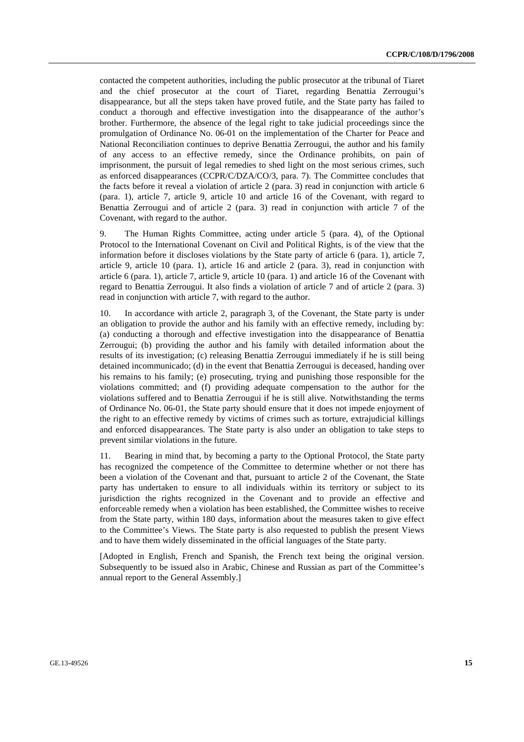contacted the competent authorities, including the public prosecutor at the tribunal of Tiaret and the chief prosecutor at the court of Tiaret, regarding Benattia Zerrougui's disappearance, but all the steps taken have proved futile, and the State party has failed to conduct a thorough and effective investigation into the disappearance of the author's brother. Furthermore, the absence of the legal right to take judicial proceedings since the promulgation of Ordinance No. 06-01 on the implementation of the Charter for Peace and National Reconciliation continues to deprive Benattia Zerrougui, the author and his family of any access to an effective remedy, since the Ordinance prohibits, on pain of imprisonment, the pursuit of legal remedies to shed light on the most serious crimes, such as enforced disappearances (CCPR/C/DZA/CO/3, para. 7). The Committee concludes that the facts before it reveal a violation of article 2 (para. 3) read in conjunction with article 6 (para. 1), article 7, article 9, article 10 and article 16 of the Covenant, with regard to Benattia Zerrougui and of article 2 (para. 3) read in conjunction with article 7 of the Covenant, with regard to the author.

9. The Human Rights Committee, acting under article 5 (para. 4), of the Optional Protocol to the International Covenant on Civil and Political Rights, is of the view that the information before it discloses violations by the State party of article 6 (para. 1), article 7, article 9, article 10 (para. 1), article 16 and article 2 (para. 3), read in conjunction with article 6 (para. 1), article 7, article 9, article 10 (para. 1) and article 16 of the Covenant with regard to Benattia Zerrougui. It also finds a violation of article 7 and of article 2 (para. 3) read in conjunction with article 7, with regard to the author.

10. In accordance with article 2, paragraph 3, of the Covenant, the State party is under an obligation to provide the author and his family with an effective remedy, including by: (a) conducting a thorough and effective investigation into the disappearance of Benattia Zerrougui; (b) providing the author and his family with detailed information about the results of its investigation; (c) releasing Benattia Zerrougui immediately if he is still being detained incommunicado; (d) in the event that Benattia Zerrougui is deceased, handing over his remains to his family; (e) prosecuting, trying and punishing those responsible for the violations committed; and (f) providing adequate compensation to the author for the violations suffered and to Benattia Zerrougui if he is still alive. Notwithstanding the terms of Ordinance No. 06-01, the State party should ensure that it does not impede enjoyment of the right to an effective remedy by victims of crimes such as torture, extrajudicial killings and enforced disappearances. The State party is also under an obligation to take steps to prevent similar violations in the future.

11. Bearing in mind that, by becoming a party to the Optional Protocol, the State party has recognized the competence of the Committee to determine whether or not there has been a violation of the Covenant and that, pursuant to article 2 of the Covenant, the State party has undertaken to ensure to all individuals within its territory or subject to its jurisdiction the rights recognized in the Covenant and to provide an effective and enforceable remedy when a violation has been established, the Committee wishes to receive from the State party, within 180 days, information about the measures taken to give effect to the Committee's Views. The State party is also requested to publish the present Views and to have them widely disseminated in the official languages of the State party.

[Adopted in English, French and Spanish, the French text being the original version. Subsequently to be issued also in Arabic, Chinese and Russian as part of the Committee's annual report to the General Assembly.]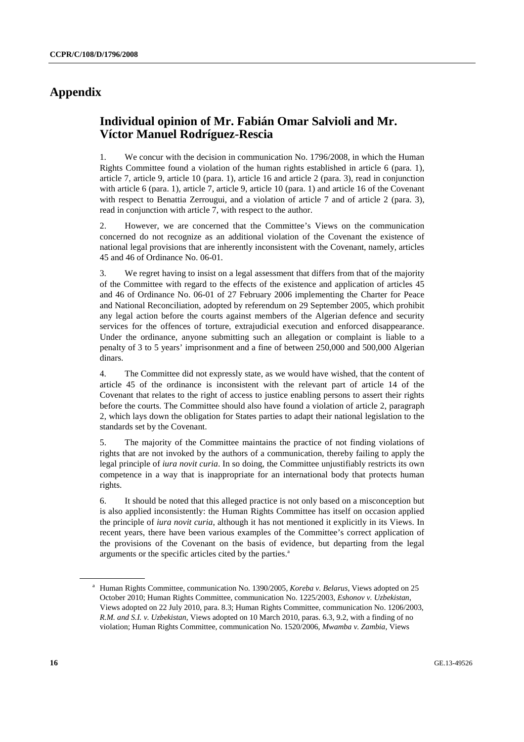## **Appendix**

## **Individual opinion of Mr. Fabián Omar Salvioli and Mr. Víctor Manuel Rodríguez-Rescia**

1. We concur with the decision in communication No. 1796/2008, in which the Human Rights Committee found a violation of the human rights established in article 6 (para. 1), article 7, article 9, article 10 (para. 1), article 16 and article 2 (para. 3), read in conjunction with article 6 (para. 1), article 7, article 9, article 10 (para. 1) and article 16 of the Covenant with respect to Benattia Zerrougui, and a violation of article 7 and of article 2 (para. 3), read in conjunction with article 7, with respect to the author.

2. However, we are concerned that the Committee's Views on the communication concerned do not recognize as an additional violation of the Covenant the existence of national legal provisions that are inherently inconsistent with the Covenant, namely, articles 45 and 46 of Ordinance No. 06-01.

3. We regret having to insist on a legal assessment that differs from that of the majority of the Committee with regard to the effects of the existence and application of articles 45 and 46 of Ordinance No. 06-01 of 27 February 2006 implementing the Charter for Peace and National Reconciliation, adopted by referendum on 29 September 2005, which prohibit any legal action before the courts against members of the Algerian defence and security services for the offences of torture, extrajudicial execution and enforced disappearance. Under the ordinance, anyone submitting such an allegation or complaint is liable to a penalty of 3 to 5 years' imprisonment and a fine of between 250,000 and 500,000 Algerian dinars.

4. The Committee did not expressly state, as we would have wished, that the content of article 45 of the ordinance is inconsistent with the relevant part of article 14 of the Covenant that relates to the right of access to justice enabling persons to assert their rights before the courts. The Committee should also have found a violation of article 2, paragraph 2, which lays down the obligation for States parties to adapt their national legislation to the standards set by the Covenant.

5. The majority of the Committee maintains the practice of not finding violations of rights that are not invoked by the authors of a communication, thereby failing to apply the legal principle of *iura novit curia*. In so doing, the Committee unjustifiably restricts its own competence in a way that is inappropriate for an international body that protects human rights.

6. It should be noted that this alleged practice is not only based on a misconception but is also applied inconsistently: the Human Rights Committee has itself on occasion applied the principle of *iura novit curia*, although it has not mentioned it explicitly in its Views. In recent years, there have been various examples of the Committee's correct application of the provisions of the Covenant on the basis of evidence, but departing from the legal arguments or the specific articles cited by the parties.<sup>a</sup>

<sup>&</sup>lt;sup>a</sup> Human Rights Committee, communication No. 1390/2005, *Koreba v. Belarus*, Views adopted on 25 October 2010; Human Rights Committee, communication No. 1225/2003, *Eshonov v. Uzbekistan*, Views adopted on 22 July 2010, para. 8.3; Human Rights Committee, communication No. 1206/2003, *R.M. and S.I. v. Uzbekistan*, Views adopted on 10 March 2010, paras. 6.3, 9.2, with a finding of no violation; Human Rights Committee, communication No. 1520/2006, *Mwamba v. Zambia*, Views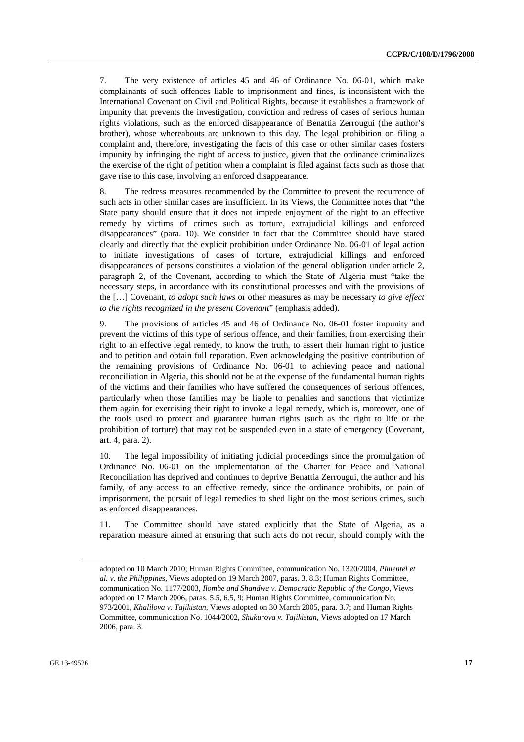7. The very existence of articles 45 and 46 of Ordinance No. 06-01, which make complainants of such offences liable to imprisonment and fines, is inconsistent with the International Covenant on Civil and Political Rights, because it establishes a framework of impunity that prevents the investigation, conviction and redress of cases of serious human rights violations, such as the enforced disappearance of Benattia Zerrougui (the author's brother), whose whereabouts are unknown to this day. The legal prohibition on filing a complaint and, therefore, investigating the facts of this case or other similar cases fosters impunity by infringing the right of access to justice, given that the ordinance criminalizes the exercise of the right of petition when a complaint is filed against facts such as those that gave rise to this case, involving an enforced disappearance.

8. The redress measures recommended by the Committee to prevent the recurrence of such acts in other similar cases are insufficient. In its Views, the Committee notes that "the State party should ensure that it does not impede enjoyment of the right to an effective remedy by victims of crimes such as torture, extrajudicial killings and enforced disappearances" (para. 10). We consider in fact that the Committee should have stated clearly and directly that the explicit prohibition under Ordinance No. 06-01 of legal action to initiate investigations of cases of torture, extrajudicial killings and enforced disappearances of persons constitutes a violation of the general obligation under article 2, paragraph 2, of the Covenant, according to which the State of Algeria must "take the necessary steps, in accordance with its constitutional processes and with the provisions of the […] Covenant, *to adopt such laws* or other measures as may be necessary *to give effect to the rights recognized in the present Covenant*" (emphasis added).

9. The provisions of articles 45 and 46 of Ordinance No. 06-01 foster impunity and prevent the victims of this type of serious offence, and their families, from exercising their right to an effective legal remedy, to know the truth, to assert their human right to justice and to petition and obtain full reparation. Even acknowledging the positive contribution of the remaining provisions of Ordinance No. 06-01 to achieving peace and national reconciliation in Algeria, this should not be at the expense of the fundamental human rights of the victims and their families who have suffered the consequences of serious offences, particularly when those families may be liable to penalties and sanctions that victimize them again for exercising their right to invoke a legal remedy, which is, moreover, one of the tools used to protect and guarantee human rights (such as the right to life or the prohibition of torture) that may not be suspended even in a state of emergency (Covenant, art. 4, para. 2).

10. The legal impossibility of initiating judicial proceedings since the promulgation of Ordinance No. 06-01 on the implementation of the Charter for Peace and National Reconciliation has deprived and continues to deprive Benattia Zerrougui, the author and his family, of any access to an effective remedy, since the ordinance prohibits, on pain of imprisonment, the pursuit of legal remedies to shed light on the most serious crimes, such as enforced disappearances.

11. The Committee should have stated explicitly that the State of Algeria, as a reparation measure aimed at ensuring that such acts do not recur, should comply with the

adopted on 10 March 2010; Human Rights Committee, communication No. 1320/2004, *Pimentel et al. v. the Philippine*s, Views adopted on 19 March 2007, paras. 3, 8.3; Human Rights Committee, communication No. 1177/2003, *Ilombe and Shandwe v. Democratic Republic of the Congo*, Views adopted on 17 March 2006, paras. 5.5, 6.5, 9; Human Rights Committee, communication No. 973/2001, *Khalilova v. Tajikistan*, Views adopted on 30 March 2005, para. 3.7; and Human Rights Committee, communication No. 1044/2002, *Shukurova v. Tajikistan*, Views adopted on 17 March 2006, para. 3.